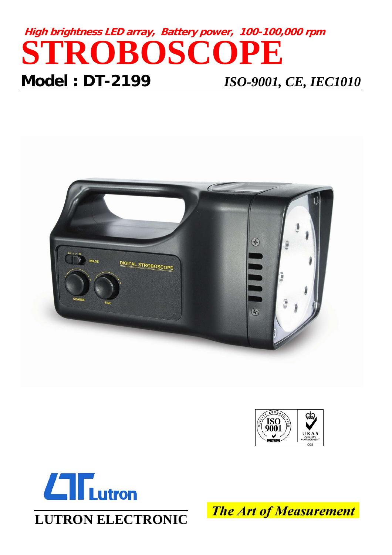# **High brightness LED array, Battery power, 100-100,000 rpm STROBOSCOPE Model : DT-2199** *ISO-9001, CE, IEC1010*







**LUTRON ELECTRONIC**